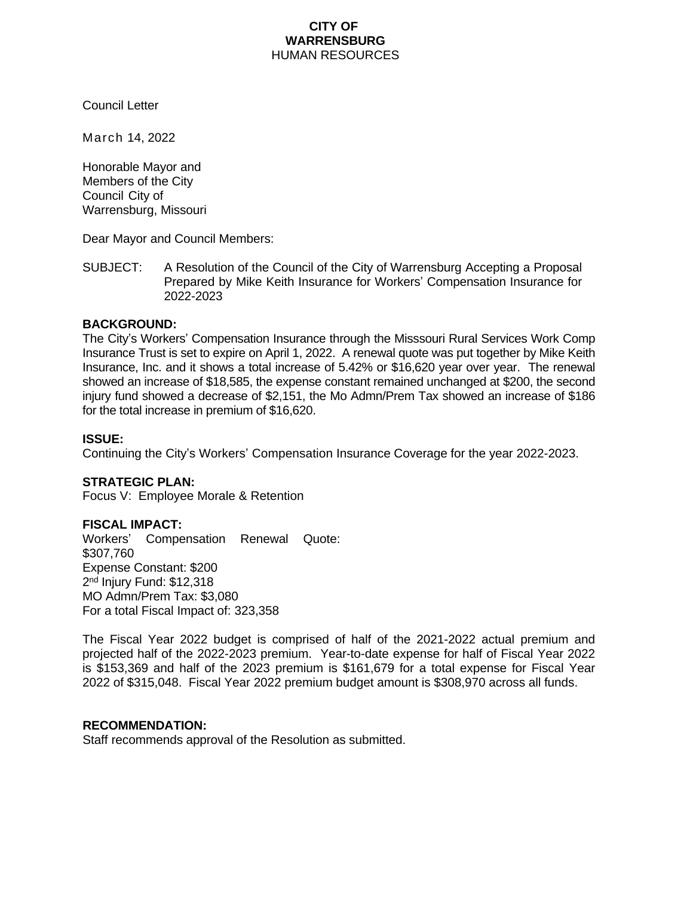# **CITY OF WARRENSBURG** HUMAN RESOURCES

Council Letter

March 14, 2022

Honorable Mayor and Members of the City Council City of Warrensburg, Missouri

Dear Mayor and Council Members:

SUBJECT: A Resolution of the Council of the City of Warrensburg Accepting a Proposal Prepared by Mike Keith Insurance for Workers' Compensation Insurance for 2022-2023

# **BACKGROUND:**

The City's Workers' Compensation Insurance through the Misssouri Rural Services Work Comp Insurance Trust is set to expire on April 1, 2022. A renewal quote was put together by Mike Keith Insurance, Inc. and it shows a total increase of 5.42% or \$16,620 year over year. The renewal showed an increase of \$18,585, the expense constant remained unchanged at \$200, the second injury fund showed a decrease of \$2,151, the Mo Admn/Prem Tax showed an increase of \$186 for the total increase in premium of \$16,620.

#### **ISSUE:**

Continuing the City's Workers' Compensation Insurance Coverage for the year 2022-2023.

#### **STRATEGIC PLAN:**

Focus V: Employee Morale & Retention

#### **FISCAL IMPACT:**

Workers' Compensation Renewal Quote: \$307,760 Expense Constant: \$200 2<sup>nd</sup> Injury Fund: \$12,318 MO Admn/Prem Tax: \$3,080 For a total Fiscal Impact of: 323,358

The Fiscal Year 2022 budget is comprised of half of the 2021-2022 actual premium and projected half of the 2022-2023 premium. Year-to-date expense for half of Fiscal Year 2022 is \$153,369 and half of the 2023 premium is \$161,679 for a total expense for Fiscal Year 2022 of \$315,048. Fiscal Year 2022 premium budget amount is \$308,970 across all funds.

#### **RECOMMENDATION:**

Staff recommends approval of the Resolution as submitted.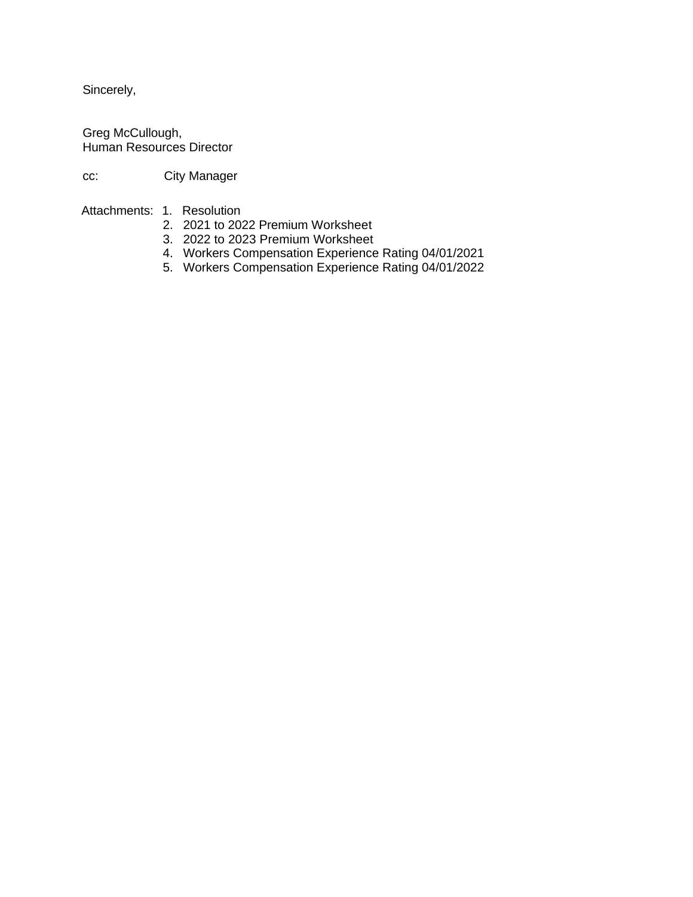Sincerely,

Greg McCullough, Human Resources Director

cc: City Manager

Attachments: 1. Resolution

- 2. 2021 to 2022 Premium Worksheet
- 3. 2022 to 2023 Premium Worksheet
- 4. Workers Compensation Experience Rating 04/01/2021
- 5. Workers Compensation Experience Rating 04/01/2022